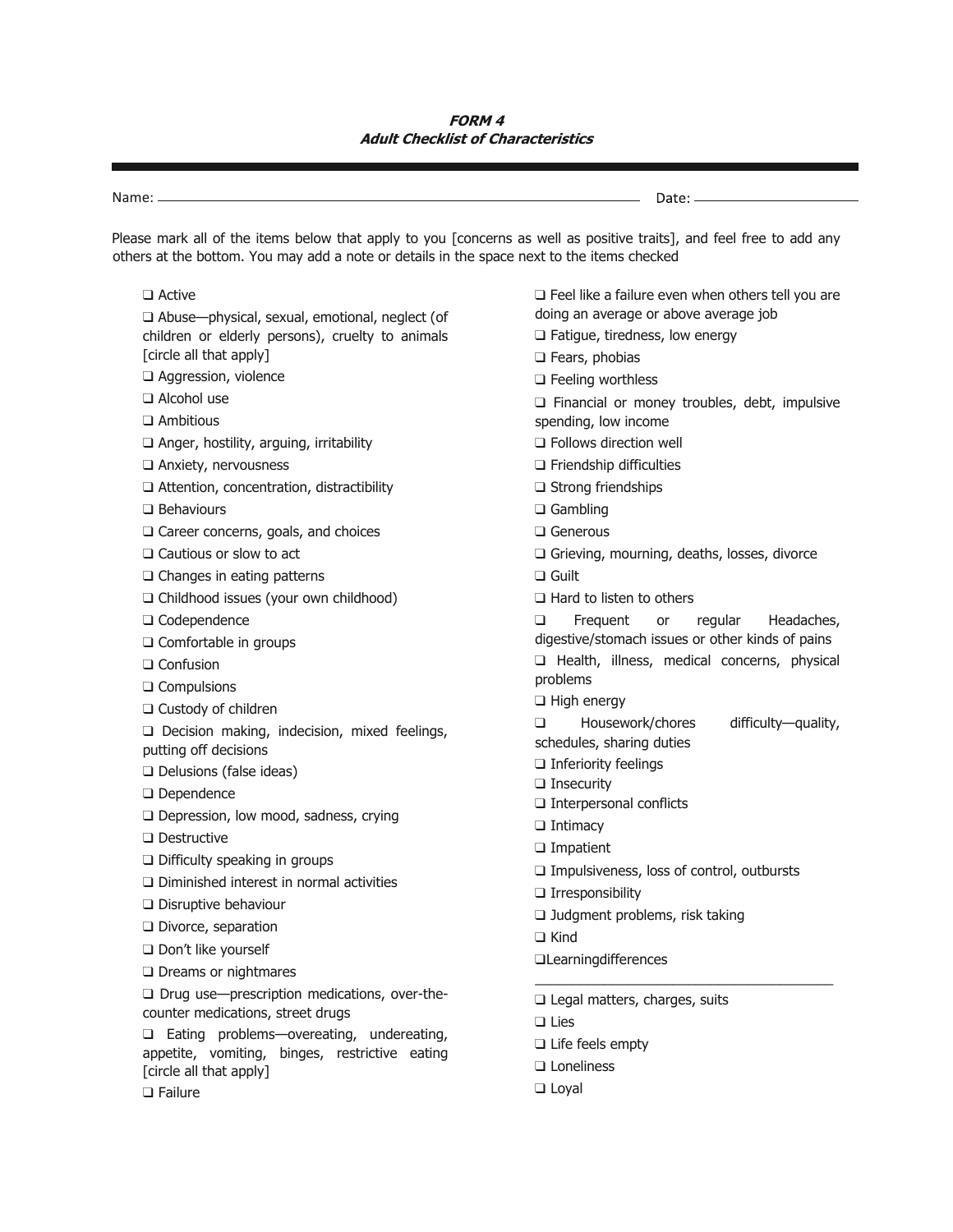## **FORM 4 Adult Checklist of Characteristics**

| Name: —                                                                                                                                                                                                                                                                                                                                                                                                                                                                                                                                                                                                                                                                                                                                                                                                                                                                                                                                                                                                                                                                               | Date: $\_\_$                                                                                                                                                                                                                                                                                                                                                                                                                                                                                                                                                                                                                                                                                                                                                                                                                                                                                                                                                                                                                                                                                  |
|---------------------------------------------------------------------------------------------------------------------------------------------------------------------------------------------------------------------------------------------------------------------------------------------------------------------------------------------------------------------------------------------------------------------------------------------------------------------------------------------------------------------------------------------------------------------------------------------------------------------------------------------------------------------------------------------------------------------------------------------------------------------------------------------------------------------------------------------------------------------------------------------------------------------------------------------------------------------------------------------------------------------------------------------------------------------------------------|-----------------------------------------------------------------------------------------------------------------------------------------------------------------------------------------------------------------------------------------------------------------------------------------------------------------------------------------------------------------------------------------------------------------------------------------------------------------------------------------------------------------------------------------------------------------------------------------------------------------------------------------------------------------------------------------------------------------------------------------------------------------------------------------------------------------------------------------------------------------------------------------------------------------------------------------------------------------------------------------------------------------------------------------------------------------------------------------------|
| Please mark all of the items below that apply to you [concerns as well as positive traits], and feel free to add any<br>others at the bottom. You may add a note or details in the space next to the items checked                                                                                                                                                                                                                                                                                                                                                                                                                                                                                                                                                                                                                                                                                                                                                                                                                                                                    |                                                                                                                                                                                                                                                                                                                                                                                                                                                                                                                                                                                                                                                                                                                                                                                                                                                                                                                                                                                                                                                                                               |
| $\Box$ Active<br>□ Abuse-physical, sexual, emotional, neglect (of<br>children or elderly persons), cruelty to animals<br>[circle all that apply]<br>□ Aggression, violence<br>$\Box$ Alcohol use<br>$\Box$ Ambitious<br>$\Box$ Anger, hostility, arguing, irritability<br>$\Box$ Anxiety, nervousness<br>$\Box$ Attention, concentration, distractibility<br>$\Box$ Behaviours<br>$\Box$ Career concerns, goals, and choices<br>$\Box$ Cautious or slow to act<br>$\Box$ Changes in eating patterns<br>□ Childhood issues (your own childhood)<br>□ Codependence<br>$\Box$ Comfortable in groups<br>$\Box$ Confusion<br>$\Box$ Compulsions<br>$\Box$ Custody of children<br>$\Box$ Decision making, indecision, mixed feelings,<br>putting off decisions<br>Delusions (false ideas)<br>$\Box$ Dependence<br>$\Box$ Depression, low mood, sadness, crying<br>$\Box$ Destructive<br>Difficulty speaking in groups<br>$\Box$ Diminished interest in normal activities<br>$\Box$ Disruptive behaviour<br>$\Box$ Divorce, separation<br>Don't like yourself<br>$\Box$ Dreams or nightmares | $\Box$ Feel like a failure even when others tell you are<br>doing an average or above average job<br>$\Box$ Fatigue, tiredness, low energy<br>$\Box$ Fears, phobias<br>$\Box$ Feeling worthless<br>$\Box$ Financial or money troubles, debt, impulsive<br>spending, low income<br>$\Box$ Follows direction well<br>$\Box$ Friendship difficulties<br>$\Box$ Strong friendships<br>$\Box$ Gambling<br>$\Box$ Generous<br>$\Box$ Grieving, mourning, deaths, losses, divorce<br>$\Box$ Guilt<br>$\Box$ Hard to listen to others<br>□<br>Frequent<br>Headaches,<br>or<br>regular<br>digestive/stomach issues or other kinds of pains<br>Health, illness, medical concerns, physical<br>problems<br>$\Box$ High energy<br>□<br>Housework/chores<br>difficulty-quality,<br>schedules, sharing duties<br>$\Box$ Inferiority feelings<br>$\Box$ Insecurity<br>$\Box$ Interpersonal conflicts<br>$\Box$ Intimacy<br>$\Box$ Impatient<br>$\Box$ Impulsiveness, loss of control, outbursts<br>$\Box$ Irresponsibility<br>□ Judgment problems, risk taking<br>$\Box$ Kind<br><b>QLearningdifferences</b> |
| □ Drug use-prescription medications, over-the-<br>counter medications, street drugs<br>□ Eating problems-overeating, undereating,<br>appetite, vomiting, binges, restrictive eating<br>[circle all that apply]<br>$\Box$ Failure                                                                                                                                                                                                                                                                                                                                                                                                                                                                                                                                                                                                                                                                                                                                                                                                                                                      | $\Box$ Legal matters, charges, suits<br>$\Box$ Lies<br>$\Box$ Life feels empty<br>$\square$ Loneliness<br>$\Box$ Loyal                                                                                                                                                                                                                                                                                                                                                                                                                                                                                                                                                                                                                                                                                                                                                                                                                                                                                                                                                                        |